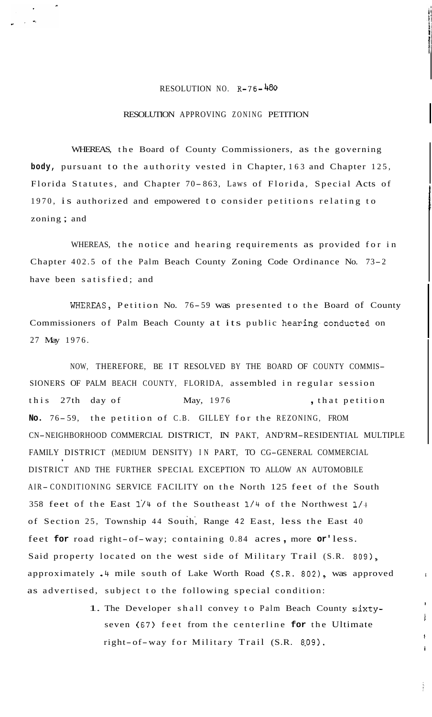## RESOLUTION NO. R-76-480

## RESOLUTION APPROVING ZONING PETITION

WHEREAS, the Board of County Commissioners, as the governing **body,** pursuant to the authority vested in Chapter, 163 and Chapter 125, Florida Statutes, and Chapter 70- 863, Laws of Florida, Special Acts of 1970, is authorized and empowered to consider petitions relating to zoning ; and

WHEREAS, the notice and hearing requirements as provided for in Chapter 402.5 of the Palm Beach County Zoning Code Ordinance No. 73-2 have been satisfied; and

WHEREAS, Petition No. 76-59 was presented to the Board of County Commissioners of Palm Beach County at its public hearing conducted on 27 May 1976.

NOW, THEREFORE, BE IT RESOLVED BY THE BOARD OF COUNTY COMMIS-SIONERS OF PALM BEACH COUNTY, FLORIDA, assembled in regular session this 27th day of May, 1976 , that petition **No.** 76- 59, the petition of C.B. GILLEY for the REZONING, FROM CN-NEIGHBORHOOD COMMERCIAL DISTRICT, IN PAKT, AND'RM-RESIDENTIAL MULTIPLE FAMILY DISTRICT (MEDIUM DENSITY) IN PART, TO CG-GENERAL COMMERCIAL DISTRICT AND THE FURTHER SPECIAL EXCEPTION TO ALLOW AN AUTOMOBILE AIR- CONDITIONING SERVICE FACILITY on the North 125 feet of the South 358 feet of the East **114** of the Southeast **1/4** of the Northwest **1/4**  of Section 25, Township 44 South, Range 42 East, less the East 40 feet **for** road right-of-way; containing 0.84 acres , more **or'** less. Said property located on the west side of Military Trail (S.R. 809), approximately  $\cdot$ 4 mile south of Lake Worth Road (S.R. 802), was approved  $\cdot$ as advertised, subject to the following special condition:

> 1. The Developer shall convey to Palm Beach County sixtyseven (67) feet from the centerline **for** the Ultimate right-of-way for Military Trail (S.R. 8.09).

I i

> ! **i**

Ì.